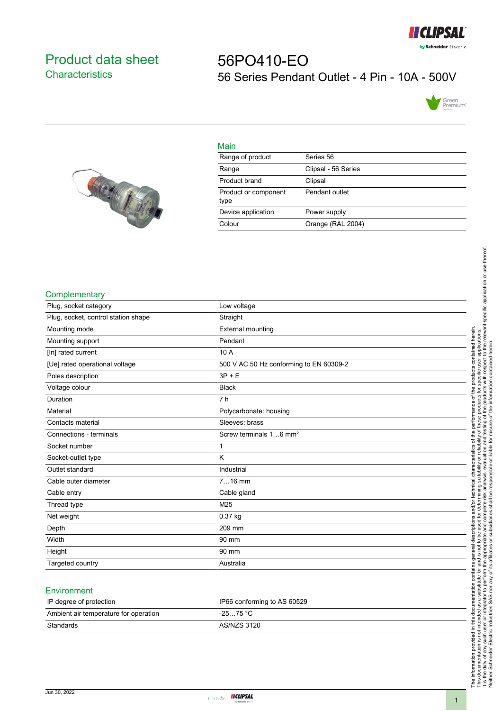

## <span id="page-0-0"></span>Product data sheet **Characteristics**

# 56PO410-EO 56 Series Pendant Outlet - 4 Pin - 10A - 500V





| Main                         |                     |
|------------------------------|---------------------|
| Range of product             | Series 56           |
| Range                        | Clipsal - 56 Series |
| Product brand                | Clipsal             |
| Product or component<br>type | Pendant outlet      |
| Device application           | Power supply        |
| Colour                       | Orange (RAL 2004)   |

#### **Complementary**

| Plug, socket category               | Low voltage                             |
|-------------------------------------|-----------------------------------------|
| Plug, socket, control station shape | Straight                                |
| Mounting mode                       | <b>External mounting</b>                |
| Mounting support                    | Pendant                                 |
| [In] rated current                  | 10 A                                    |
| [Ue] rated operational voltage      | 500 V AC 50 Hz conforming to EN 60309-2 |
| Poles description                   | $3P + E$                                |
| Voltage colour                      | <b>Black</b>                            |
| Duration                            | 7 <sub>h</sub>                          |
| Material                            | Polycarbonate: housing                  |
| Contacts material                   | Sleeves: brass                          |
| Connections - terminals             | Screw terminals 16 mm <sup>2</sup>      |
| Socket number                       | 1                                       |
| Socket-outlet type                  | K                                       |
| Outlet standard                     | Industrial                              |
| Cable outer diameter                | $716$ mm                                |
| Cable entry                         | Cable gland                             |
| Thread type                         | M25                                     |
| Net weight                          | $0.37$ kg                               |
| Depth                               | 209 mm                                  |
| Width                               | 90 mm                                   |
| Height                              | 90 mm                                   |
| Targeted country                    | Australia                               |

#### **Environment**

| IP degree of protection               | IP66 conforming to AS 60529 |
|---------------------------------------|-----------------------------|
| Ambient air temperature for operation | -25…75 °C                   |
| Standards                             | AS/NZS 3120                 |